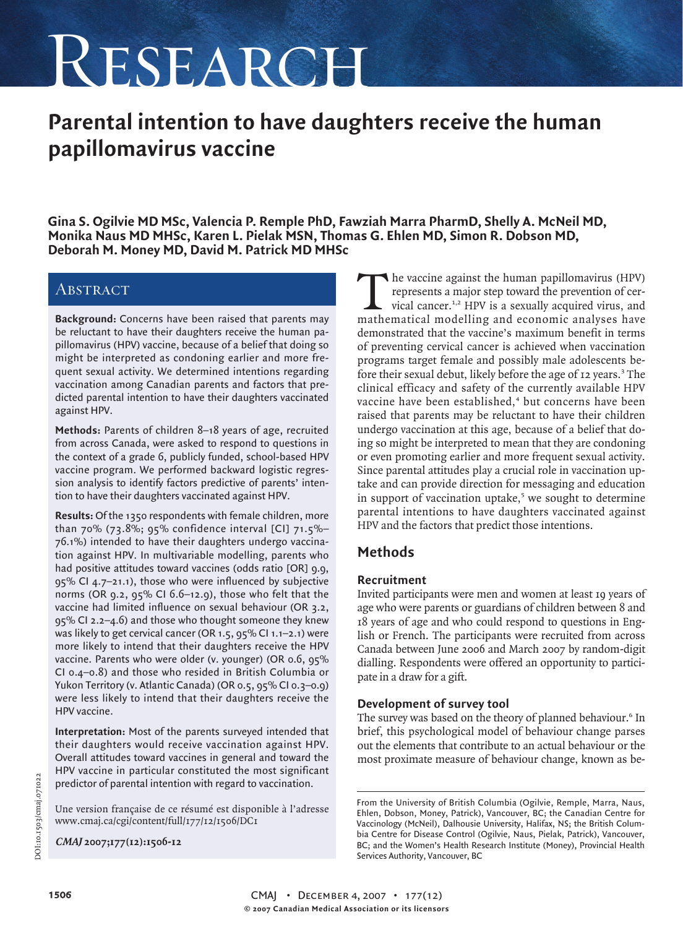# RESEARCH

# **Parental intention to have daughters receive the human papillomavirus vaccine**

**Gina S. Ogilvie MD MSc, Valencia P. Remple PhD, Fawziah Marra PharmD, Shelly A. McNeil MD, Monika Naus MD MHSc, Karen L. Pielak MSN, Thomas G. Ehlen MD, Simon R. Dobson MD, Deborah M. Money MD, David M. Patrick MD MHSc**

## **ABSTRACT**

**Background:** Concerns have been raised that parents may be reluctant to have their daughters receive the human papillomavirus (HPV) vaccine, because of a belief that doing so might be interpreted as condoning earlier and more frequent sexual activity. We determined intentions regarding vaccination among Canadian parents and factors that predicted parental intention to have their daughters vaccinated against HPV.

**Methods:** Parents of children 8–18 years of age, recruited from across Canada, were asked to respond to questions in the context of a grade 6, publicly funded, school-based HPV vaccine program. We performed backward logistic regression analysis to identify factors predictive of parents' intention to have their daughters vaccinated against HPV.

**Results:** Of the 1350 respondents with female children, more than 70% (73.8%; 95% confidence interval [CI] 71.5%– 76.1%) intended to have their daughters undergo vaccination against HPV. In multivariable modelling, parents who had positive attitudes toward vaccines (odds ratio [OR] 9.9, 95% CI 4.7–21.1), those who were influenced by subjective norms (OR 9.2, 95% CI 6.6–12.9), those who felt that the vaccine had limited influence on sexual behaviour (OR 3.2, 95% CI 2.2–4.6) and those who thought someone they knew was likely to get cervical cancer (OR 1.5, 95% Cl 1.1–2.1) were more likely to intend that their daughters receive the HPV vaccine. Parents who were older (v. younger) (OR 0.6, 95% CI 0.4–0.8) and those who resided in British Columbia or Yukon Territory (v. Atlantic Canada) (OR 0.5, 95% CI 0.3–0.9) were less likely to intend that their daughters receive the HPV vaccine.

**Interpretation:** Most of the parents surveyed intended that their daughters would receive vaccination against HPV. Overall attitudes toward vaccines in general and toward the HPV vaccine in particular constituted the most significant predictor of parental intention with regard to vaccination.

Une version française de ce résumé est disponible à l'adresse www.cmaj.ca/cgi/content/full/177/12/1506/DC1

**CMAJ 2007;177(12):1506-12**

The vaccine against the human papillomavirus (HPV)<br>represents a major step toward the prevention of cer-<br>vical cancer.<sup>1,2</sup> HPV is a sexually acquired virus, and<br>mathematical modelling and economic analyses have represents a major step toward the prevention of cervical cancer.1,2 HPV is a sexually acquired virus, and mathematical modelling and economic analyses have demonstrated that the vaccine's maximum benefit in terms of preventing cervical cancer is achieved when vaccination programs target female and possibly male adolescents before their sexual debut, likely before the age of 12 years.<sup>3</sup> The clinical efficacy and safety of the currently available HPV vaccine have been established,<sup>4</sup> but concerns have been raised that parents may be reluctant to have their children undergo vaccination at this age, because of a belief that doing so might be interpreted to mean that they are condoning or even promoting earlier and more frequent sexual activity. Since parental attitudes play a crucial role in vaccination uptake and can provide direction for messaging and education in support of vaccination uptake, $5$  we sought to determine parental intentions to have daughters vaccinated against HPV and the factors that predict those intentions.

## **Methods**

#### **Recruitment**

Invited participants were men and women at least 19 years of age who were parents or guardians of children between 8 and 18 years of age and who could respond to questions in English or French. The participants were recruited from across Canada between June 2006 and March 2007 by random-digit dialling. Respondents were offered an opportunity to participate in a draw for a gift.

#### **Development of survey tool**

The survey was based on the theory of planned behaviour.<sup>6</sup> In brief, this psychological model of behaviour change parses out the elements that contribute to an actual behaviour or the most proximate measure of behaviour change, known as be-

From the University of British Columbia (Ogilvie, Remple, Marra, Naus, Ehlen, Dobson, Money, Patrick), Vancouver, BC; the Canadian Centre for Vaccinology (McNeil), Dalhousie University, Halifax, NS; the British Columbia Centre for Disease Control (Ogilvie, Naus, Pielak, Patrick), Vancouver, BC; and the Women's Health Research Institute (Money), Provincial Health Services Authority, Vancouver, BC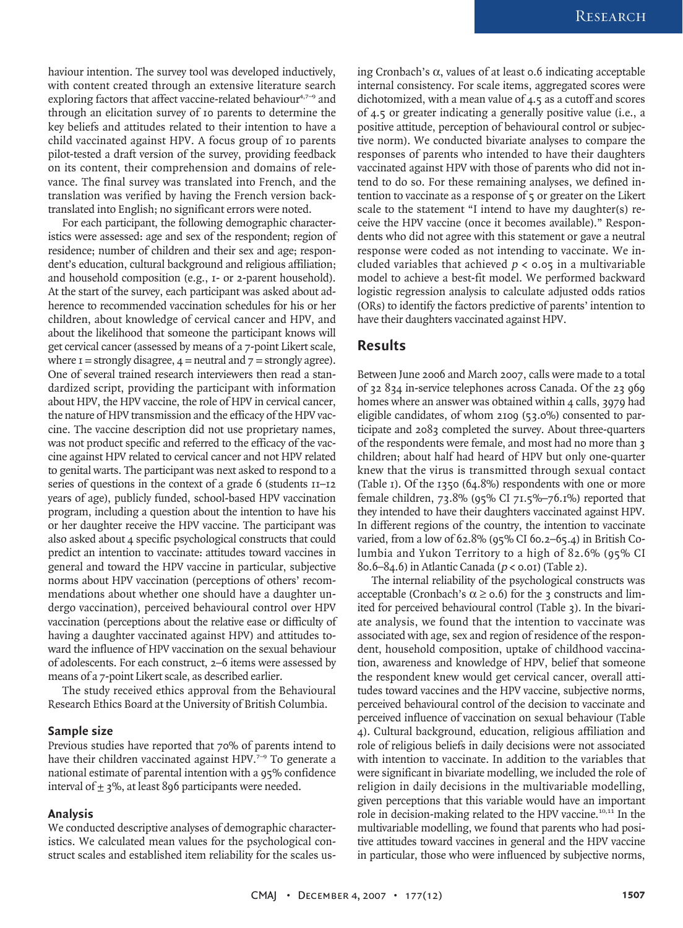haviour intention. The survey tool was developed inductively, with content created through an extensive literature search exploring factors that affect vaccine-related behaviour<sup>4,7-9</sup> and through an elicitation survey of 10 parents to determine the key beliefs and attitudes related to their intention to have a child vaccinated against HPV. A focus group of 10 parents pilot-tested a draft version of the survey, providing feedback on its content, their comprehension and domains of relevance. The final survey was translated into French, and the translation was verified by having the French version backtranslated into English; no significant errors were noted.

For each participant, the following demographic characteristics were assessed: age and sex of the respondent; region of residence; number of children and their sex and age; respondent's education, cultural background and religious affiliation; and household composition (e.g., 1- or 2-parent household). At the start of the survey, each participant was asked about adherence to recommended vaccination schedules for his or her children, about knowledge of cervical cancer and HPV, and about the likelihood that someone the participant knows will get cervical cancer (assessed by means of a 7-point Likert scale, where  $i =$  strongly disagree,  $4 =$  neutral and  $7 =$  strongly agree). One of several trained research interviewers then read a standardized script, providing the participant with information about HPV, the HPV vaccine, the role of HPV in cervical cancer, the nature of HPV transmission and the efficacy of the HPV vaccine. The vaccine description did not use proprietary names, was not product specific and referred to the efficacy of the vaccine against HPV related to cervical cancer and not HPV related to genital warts. The participant was next asked to respond to a series of questions in the context of a grade 6 (students 11–12 years of age), publicly funded, school-based HPV vaccination program, including a question about the intention to have his or her daughter receive the HPV vaccine. The participant was also asked about 4 specific psychological constructs that could predict an intention to vaccinate: attitudes toward vaccines in general and toward the HPV vaccine in particular, subjective norms about HPV vaccination (perceptions of others' recommendations about whether one should have a daughter undergo vaccination), perceived behavioural control over HPV vaccination (perceptions about the relative ease or difficulty of having a daughter vaccinated against HPV) and attitudes toward the influence of HPV vaccination on the sexual behaviour of adolescents. For each construct, 2–6 items were assessed by means of a 7-point Likert scale, as described earlier.

The study received ethics approval from the Behavioural Research Ethics Board at the University of British Columbia.

#### **Sample size**

Previous studies have reported that 70% of parents intend to have their children vaccinated against HPV.<sup>7-9</sup> To generate a national estimate of parental intention with a 95% confidence interval of  $\pm$  3%, at least 896 participants were needed.

#### **Analysis**

We conducted descriptive analyses of demographic characteristics. We calculated mean values for the psychological construct scales and established item reliability for the scales using Cronbach's α, values of at least 0.6 indicating acceptable internal consistency. For scale items, aggregated scores were dichotomized, with a mean value of 4.5 as a cutoff and scores of 4.5 or greater indicating a generally positive value (i.e., a positive attitude, perception of behavioural control or subjective norm). We conducted bivariate analyses to compare the responses of parents who intended to have their daughters vaccinated against HPV with those of parents who did not intend to do so. For these remaining analyses, we defined intention to vaccinate as a response of 5 or greater on the Likert scale to the statement "I intend to have my daughter(s) receive the HPV vaccine (once it becomes available)." Respondents who did not agree with this statement or gave a neutral response were coded as not intending to vaccinate. We included variables that achieved  $p < 0.05$  in a multivariable model to achieve a best-fit model. We performed backward logistic regression analysis to calculate adjusted odds ratios (ORs) to identify the factors predictive of parents' intention to have their daughters vaccinated against HPV.

#### **Results**

Between June 2006 and March 2007, calls were made to a total of 32 834 in-service telephones across Canada. Of the 23 969 homes where an answer was obtained within 4 calls, 3979 had eligible candidates, of whom 2109 (53.0%) consented to participate and 2083 completed the survey. About three-quarters of the respondents were female, and most had no more than 3 children; about half had heard of HPV but only one-quarter knew that the virus is transmitted through sexual contact (Table 1). Of the 1350 (64.8%) respondents with one or more female children, 73.8% (95% CI 71.5%–76.1%) reported that they intended to have their daughters vaccinated against HPV. In different regions of the country, the intention to vaccinate varied, from a low of 62.8% (95% CI 60.2–65.4) in British Columbia and Yukon Territory to a high of 82.6% (95% CI 80.6–84.6) in Atlantic Canada ( $p <$  0.01) (Table 2).

The internal reliability of the psychological constructs was acceptable (Cronbach's  $\alpha \ge 0.6$ ) for the 3 constructs and limited for perceived behavioural control (Table 3). In the bivariate analysis, we found that the intention to vaccinate was associated with age, sex and region of residence of the respondent, household composition, uptake of childhood vaccination, awareness and knowledge of HPV, belief that someone the respondent knew would get cervical cancer, overall attitudes toward vaccines and the HPV vaccine, subjective norms, perceived behavioural control of the decision to vaccinate and perceived influence of vaccination on sexual behaviour (Table 4). Cultural background, education, religious affiliation and role of religious beliefs in daily decisions were not associated with intention to vaccinate. In addition to the variables that were significant in bivariate modelling, we included the role of religion in daily decisions in the multivariable modelling, given perceptions that this variable would have an important role in decision-making related to the HPV vaccine.<sup>10,11</sup> In the multivariable modelling, we found that parents who had positive attitudes toward vaccines in general and the HPV vaccine in particular, those who were influenced by subjective norms,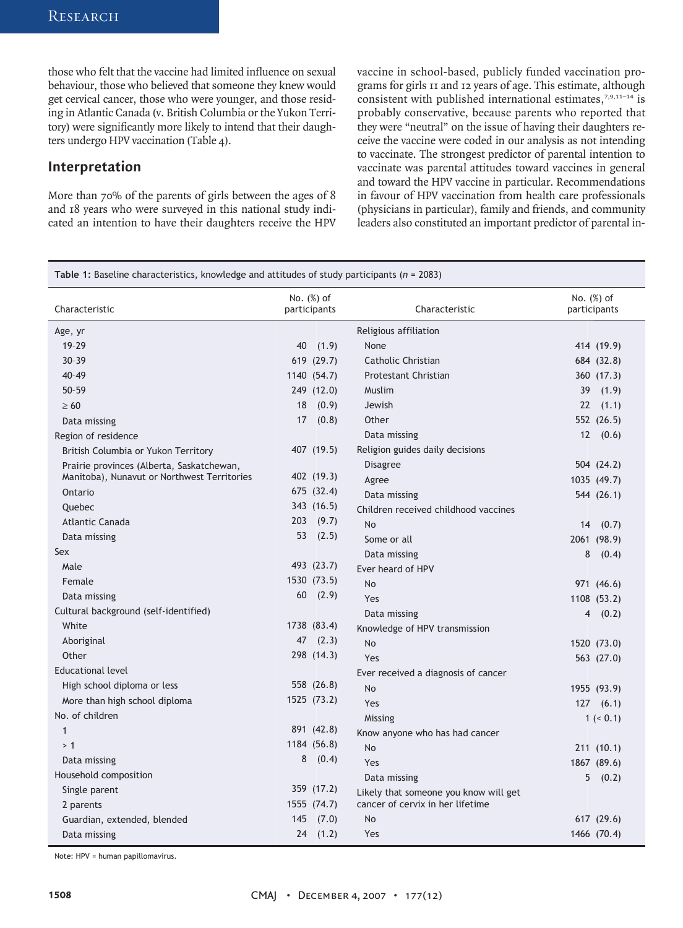those who felt that the vaccine had limited influence on sexual behaviour, those who believed that someone they knew would get cervical cancer, those who were younger, and those residing in Atlantic Canada (v. British Columbia or the Yukon Territory) were significantly more likely to intend that their daughters undergo HPV vaccination (Table 4).

#### **Interpretation**

More than 70% of the parents of girls between the ages of 8 and 18 years who were surveyed in this national study indicated an intention to have their daughters receive the HPV vaccine in school-based, publicly funded vaccination programs for girls 11 and 12 years of age. This estimate, although consistent with published international estimates, $7,9,11-14$  is probably conservative, because parents who reported that they were "neutral" on the issue of having their daughters receive the vaccine were coded in our analysis as not intending to vaccinate. The strongest predictor of parental intention to vaccinate was parental attitudes toward vaccines in general and toward the HPV vaccine in particular. Recommendations in favour of HPV vaccination from health care professionals (physicians in particular), family and friends, and community leaders also constituted an important predictor of parental in-

| <b>Table 1:</b> Baseline characteristics, knowledge and attitudes of study participants ( $n = 2083$ ) |                               |                                       |                            |
|--------------------------------------------------------------------------------------------------------|-------------------------------|---------------------------------------|----------------------------|
| Characteristic                                                                                         | No. $(\%)$ of<br>participants | Characteristic                        | No. (%) of<br>participants |
| Age, yr                                                                                                |                               | Religious affiliation                 |                            |
| 19-29                                                                                                  | (1.9)<br>40                   | None                                  | 414 (19.9)                 |
| $30 - 39$                                                                                              | 619 (29.7)                    | Catholic Christian                    | 684 (32.8)                 |
| $40 - 49$                                                                                              | 1140 (54.7)                   | <b>Protestant Christian</b>           | 360 (17.3)                 |
| $50 - 59$                                                                                              | 249 (12.0)                    | Muslim                                | 39<br>(1.9)                |
| $\geq 60$                                                                                              | (0.9)<br>18                   | Jewish                                | 22<br>(1.1)                |
| Data missing                                                                                           | 17<br>(0.8)                   | Other                                 | 552 (26.5)                 |
| Region of residence                                                                                    |                               | Data missing                          | 12(0.6)                    |
| British Columbia or Yukon Territory                                                                    | 407 (19.5)                    | Religion guides daily decisions       |                            |
| Prairie provinces (Alberta, Saskatchewan,                                                              |                               | <b>Disagree</b>                       | 504 (24.2)                 |
| Manitoba), Nunavut or Northwest Territories                                                            | 402 (19.3)                    | Agree                                 | 1035 (49.7)                |
| Ontario                                                                                                | 675 (32.4)                    | Data missing                          | 544 (26.1)                 |
| <b>Ouebec</b>                                                                                          | 343 (16.5)                    | Children received childhood vaccines  |                            |
| Atlantic Canada                                                                                        | 203<br>(9.7)                  | No                                    | 14(0.7)                    |
| Data missing                                                                                           | 53<br>(2.5)                   | Some or all                           | 2061 (98.9)                |
| Sex                                                                                                    |                               | Data missing                          | 8<br>(0.4)                 |
| Male                                                                                                   | 493 (23.7)                    | Ever heard of HPV                     |                            |
| Female                                                                                                 | 1530 (73.5)                   | <b>No</b>                             | 971 (46.6)                 |
| Data missing                                                                                           | 60<br>(2.9)                   | Yes                                   | 1108 (53.2)                |
| Cultural background (self-identified)                                                                  |                               | Data missing                          | 4(0.2)                     |
| White                                                                                                  | 1738 (83.4)                   | Knowledge of HPV transmission         |                            |
| Aboriginal                                                                                             | 47<br>(2.3)                   | <b>No</b>                             | 1520 (73.0)                |
| Other                                                                                                  | 298 (14.3)                    | Yes                                   | 563 (27.0)                 |
| <b>Educational level</b>                                                                               |                               | Ever received a diagnosis of cancer   |                            |
| High school diploma or less                                                                            | 558 (26.8)                    | No                                    | 1955 (93.9)                |
| More than high school diploma                                                                          | 1525 (73.2)                   | Yes                                   | 127(6.1)                   |
| No. of children                                                                                        |                               | Missing                               | 1 (< 0.1)                  |
| $\mathbf{1}$                                                                                           | 891 (42.8)                    | Know anyone who has had cancer        |                            |
| >1                                                                                                     | 1184 (56.8)                   | <b>No</b>                             | 211 (10.1)                 |
| Data missing                                                                                           | 8<br>(0.4)                    | Yes                                   | 1867 (89.6)                |
| Household composition                                                                                  |                               | Data missing                          | 5(0.2)                     |
| Single parent                                                                                          | 359 (17.2)                    | Likely that someone you know will get |                            |
| 2 parents                                                                                              | 1555 (74.7)                   | cancer of cervix in her lifetime      |                            |
| Guardian, extended, blended                                                                            | 145<br>(7.0)                  | <b>No</b>                             | 617 (29.6)                 |
| Data missing                                                                                           | 24<br>(1.2)                   | Yes                                   | 1466 (70.4)                |

Note: HPV = human papillomavirus.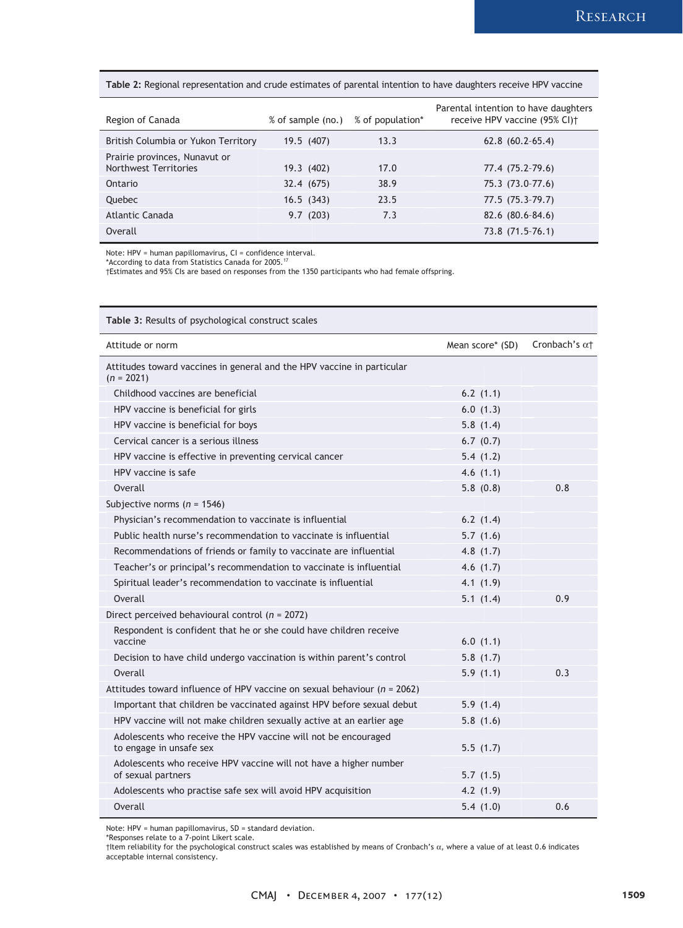#### **Table 2:** Regional representation and crude estimates of parental intention to have daughters receive HPV vaccine

| Region of Canada                                       | % of sample (no.) | % of population* | Parental intention to have daughters<br>receive HPV vaccine (95% CI) <sup>+</sup> |
|--------------------------------------------------------|-------------------|------------------|-----------------------------------------------------------------------------------|
| British Columbia or Yukon Territory                    | 19.5 (407)        | 13.3             | $62.8(60.2-65.4)$                                                                 |
| Prairie provinces, Nunavut or<br>Northwest Territories | 19.3 (402)        | 17.0             | 77.4 (75.2-79.6)                                                                  |
|                                                        |                   |                  |                                                                                   |
| Ontario                                                | 32.4 (675)        | 38.9             | 75.3 (73.0-77.6)                                                                  |
| Quebec                                                 | 16.5(343)         | 23.5             | $77.5(75.3-79.7)$                                                                 |
| Atlantic Canada                                        | 9.7(203)          | 7.3              | 82.6 (80.6-84.6)                                                                  |
| Overall                                                |                   |                  | 73.8 (71.5-76.1)                                                                  |

Note: HPV = human papillomavirus, CI = confidence interval.

\*According to data from Statistics Canada for 2005.17

†Estimates and 95% CIs are based on responses from the 1350 participants who had female offspring.

| Table 3: Results of psychological construct scales                                        |                  |                       |  |
|-------------------------------------------------------------------------------------------|------------------|-----------------------|--|
| Attitude or norm                                                                          | Mean score* (SD) | Cronbach's $\alpha$ + |  |
| Attitudes toward vaccines in general and the HPV vaccine in particular<br>$(n = 2021)$    |                  |                       |  |
| Childhood vaccines are beneficial                                                         | 6.2(1.1)         |                       |  |
| HPV vaccine is beneficial for girls                                                       | 6.0(1.3)         |                       |  |
| HPV vaccine is beneficial for boys                                                        | 5.8(1.4)         |                       |  |
| Cervical cancer is a serious illness                                                      | 6.7(0.7)         |                       |  |
| HPV vaccine is effective in preventing cervical cancer                                    | 5.4(1.2)         |                       |  |
| HPV vaccine is safe                                                                       | 4.6(1.1)         |                       |  |
| Overall                                                                                   | 5.8(0.8)         | 0.8                   |  |
| Subjective norms ( $n = 1546$ )                                                           |                  |                       |  |
| Physician's recommendation to vaccinate is influential                                    | 6.2(1.4)         |                       |  |
| Public health nurse's recommendation to vaccinate is influential                          | 5.7(1.6)         |                       |  |
| Recommendations of friends or family to vaccinate are influential                         | 4.8 $(1.7)$      |                       |  |
| Teacher's or principal's recommendation to vaccinate is influential                       | 4.6(1.7)         |                       |  |
| Spiritual leader's recommendation to vaccinate is influential                             | 4.1(1.9)         |                       |  |
| Overall                                                                                   | 5.1(1.4)         | 0.9                   |  |
| Direct perceived behavioural control ( $n = 2072$ )                                       |                  |                       |  |
| Respondent is confident that he or she could have children receive<br>vaccine             | 6.0(1.1)         |                       |  |
| Decision to have child undergo vaccination is within parent's control                     | 5.8(1.7)         |                       |  |
| Overall                                                                                   | 5.9(1.1)         | 0.3                   |  |
| Attitudes toward influence of HPV vaccine on sexual behaviour ( $n = 2062$ )              |                  |                       |  |
| Important that children be vaccinated against HPV before sexual debut                     | 5.9(1.4)         |                       |  |
| HPV vaccine will not make children sexually active at an earlier age                      | 5.8(1.6)         |                       |  |
| Adolescents who receive the HPV vaccine will not be encouraged<br>to engage in unsafe sex | 5.5(1.7)         |                       |  |
| Adolescents who receive HPV vaccine will not have a higher number<br>of sexual partners   | 5.7(1.5)         |                       |  |
| Adolescents who practise safe sex will avoid HPV acquisition                              | 4.2(1.9)         |                       |  |
| Overall                                                                                   | 5.4(1.0)         | 0.6                   |  |

Note: HPV = human papillomavirus, SD = standard deviation.

\*Responses relate to a 7-point Likert scale.

<sup>†</sup>Item reliability for the psychological construct scales was established by means of Cronbach's α, where a value of at least 0.6 indicates acceptable internal consistency.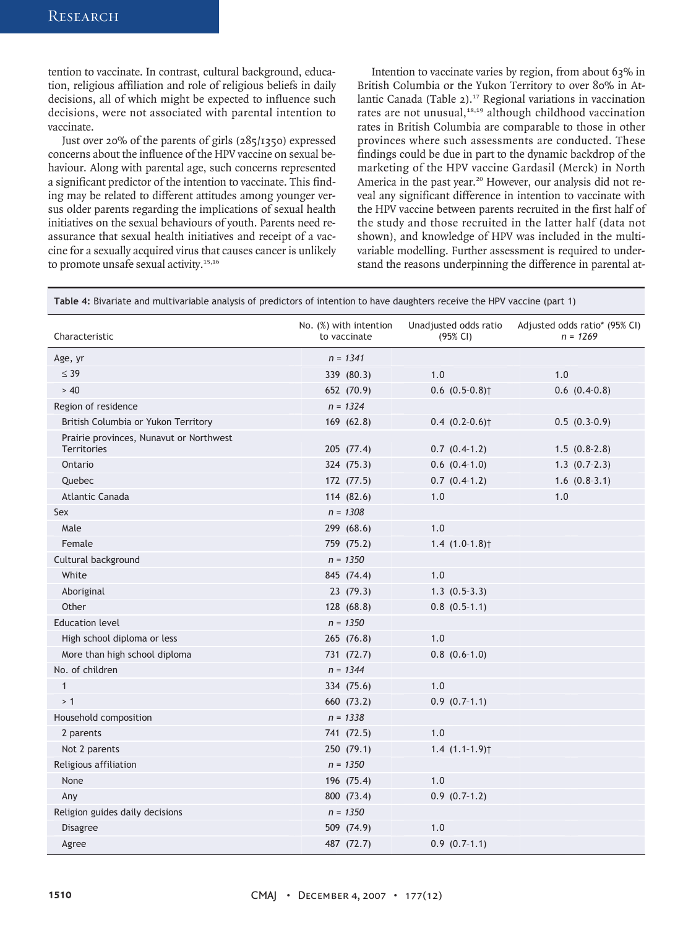tention to vaccinate. In contrast, cultural background, education, religious affiliation and role of religious beliefs in daily decisions, all of which might be expected to influence such decisions, were not associated with parental intention to vaccinate.

Just over 20% of the parents of girls (285/1350) expressed concerns about the influence of the HPV vaccine on sexual behaviour. Along with parental age, such concerns represented a significant predictor of the intention to vaccinate. This finding may be related to different attitudes among younger versus older parents regarding the implications of sexual health initiatives on the sexual behaviours of youth. Parents need reassurance that sexual health initiatives and receipt of a vaccine for a sexually acquired virus that causes cancer is unlikely to promote unsafe sexual activity.<sup>15,16</sup>

Intention to vaccinate varies by region, from about 63% in British Columbia or the Yukon Territory to over 80% in Atlantic Canada (Table 2).<sup>17</sup> Regional variations in vaccination rates are not unusual, $18,19$  although childhood vaccination rates in British Columbia are comparable to those in other provinces where such assessments are conducted. These findings could be due in part to the dynamic backdrop of the marketing of the HPV vaccine Gardasil (Merck) in North America in the past year.<sup>20</sup> However, our analysis did not reveal any significant difference in intention to vaccinate with the HPV vaccine between parents recruited in the first half of the study and those recruited in the latter half (data not shown), and knowledge of HPV was included in the multivariable modelling. Further assessment is required to understand the reasons underpinning the difference in parental at-

**Table 4:** Bivariate and multivariable analysis of predictors of intention to have daughters receive the HPV vaccine (part 1)

| Characteristic                                                | No. (%) with intention<br>to vaccinate | Unadjusted odds ratio<br>(95% CI) | Adjusted odds ratio* (95% CI)<br>$n = 1269$ |
|---------------------------------------------------------------|----------------------------------------|-----------------------------------|---------------------------------------------|
| Age, yr                                                       | $n = 1341$                             |                                   |                                             |
| $\leq$ 39                                                     | 339 (80.3)                             | 1.0                               | 1.0                                         |
| > 40                                                          | 652 (70.9)                             | $0.6$ $(0.5-0.8)$ <sup>+</sup>    | $0.6$ $(0.4-0.8)$                           |
| Region of residence                                           | $n = 1324$                             |                                   |                                             |
| British Columbia or Yukon Territory                           | 169 (62.8)                             | $0.4$ $(0.2-0.6)$ <sup>+</sup>    | $0.5(0.3-0.9)$                              |
| Prairie provinces, Nunavut or Northwest<br><b>Territories</b> | 205 (77.4)                             | $0.7$ $(0.4-1.2)$                 | $1.5(0.8-2.8)$                              |
| Ontario                                                       | 324 (75.3)                             | $0.6$ $(0.4-1.0)$                 | $1.3$ $(0.7-2.3)$                           |
| Quebec                                                        | 172 (77.5)                             | $0.7$ $(0.4-1.2)$                 | $1.6$ $(0.8-3.1)$                           |
| Atlantic Canada                                               | 114 (82.6)                             | 1.0                               | 1.0                                         |
| Sex                                                           | $n = 1308$                             |                                   |                                             |
| Male                                                          | 299 (68.6)                             | 1.0                               |                                             |
| Female                                                        | 759 (75.2)                             | $1.4(1.0-1.8)$                    |                                             |
| Cultural background                                           | $n = 1350$                             |                                   |                                             |
| White                                                         | 845 (74.4)                             | 1.0                               |                                             |
| Aboriginal                                                    | 23(79.3)                               | $1.3(0.5-3.3)$                    |                                             |
| Other                                                         | 128 (68.8)                             | $0.8$ $(0.5-1.1)$                 |                                             |
| <b>Education level</b>                                        | $n = 1350$                             |                                   |                                             |
| High school diploma or less                                   | 265 (76.8)                             | 1.0                               |                                             |
| More than high school diploma                                 | 731 (72.7)                             | $0.8$ $(0.6-1.0)$                 |                                             |
| No. of children                                               | $n = 1344$                             |                                   |                                             |
| $\mathbf{1}$                                                  | 334 (75.6)                             | 1.0                               |                                             |
| >1                                                            | 660 (73.2)                             | $0.9(0.7-1.1)$                    |                                             |
| Household composition                                         | $n = 1338$                             |                                   |                                             |
| 2 parents                                                     | 741 (72.5)                             | 1.0                               |                                             |
| Not 2 parents                                                 | 250 (79.1)                             | $1.4(1.1-1.9)$                    |                                             |
| Religious affiliation                                         | $n = 1350$                             |                                   |                                             |
| None                                                          | 196 (75.4)                             | 1.0                               |                                             |
| Any                                                           | 800 (73.4)                             | $0.9$ $(0.7-1.2)$                 |                                             |
| Religion guides daily decisions                               | $n = 1350$                             |                                   |                                             |
| Disagree                                                      | 509 (74.9)                             | 1.0                               |                                             |
| Agree                                                         | 487 (72.7)                             | $0.9$ $(0.7-1.1)$                 |                                             |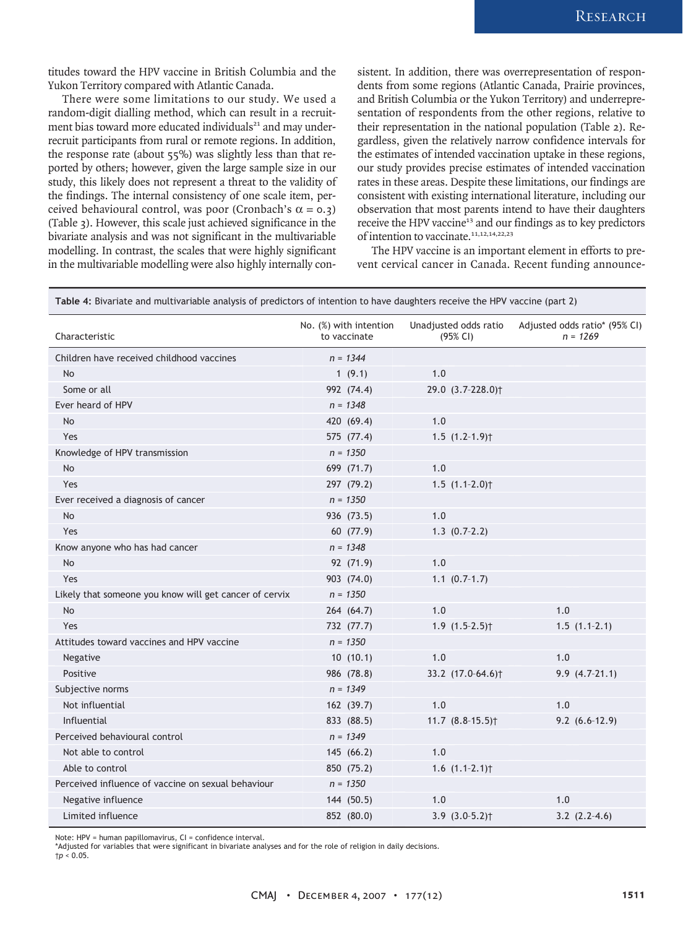titudes toward the HPV vaccine in British Columbia and the Yukon Territory compared with Atlantic Canada.

There were some limitations to our study. We used a random-digit dialling method, which can result in a recruitment bias toward more educated individuals<sup>21</sup> and may underrecruit participants from rural or remote regions. In addition, the response rate (about  $55\%$ ) was slightly less than that reported by others; however, given the large sample size in our study, this likely does not represent a threat to the validity of the findings. The internal consistency of one scale item, perceived behavioural control, was poor (Cronbach's  $\alpha = 0.3$ ) (Table 3). However, this scale just achieved significance in the bivariate analysis and was not significant in the multivariable modelling. In contrast, the scales that were highly significant in the multivariable modelling were also highly internally consistent. In addition, there was overrepresentation of respondents from some regions (Atlantic Canada, Prairie provinces, and British Columbia or the Yukon Territory) and underrepresentation of respondents from the other regions, relative to their representation in the national population (Table 2). Regardless, given the relatively narrow confidence intervals for the estimates of intended vaccination uptake in these regions, our study provides precise estimates of intended vaccination rates in these areas. Despite these limitations, our findings are consistent with existing international literature, including our observation that most parents intend to have their daughters receive the HPV vaccine<sup>13</sup> and our findings as to key predictors of intention to vaccinate.<sup>11,12,14,22,23</sup>

The HPV vaccine is an important element in efforts to prevent cervical cancer in Canada. Recent funding announce-

| Characteristic                                         | No. (%) with intention<br>to vaccinate | Unadjusted odds ratio<br>(95% CI) | Adjusted odds ratio* (95% CI)<br>$n = 1269$ |
|--------------------------------------------------------|----------------------------------------|-----------------------------------|---------------------------------------------|
| Children have received childhood vaccines              | $n = 1344$                             |                                   |                                             |
| <b>No</b>                                              | 1(9.1)                                 | 1.0                               |                                             |
| Some or all                                            | 992 (74.4)                             | 29.0 (3.7-228.0) <sup>†</sup>     |                                             |
| Ever heard of HPV                                      | $n = 1348$                             |                                   |                                             |
| <b>No</b>                                              | 420 (69.4)                             | 1.0                               |                                             |
| Yes                                                    | 575 (77.4)                             | $1.5(1.2-1.9)$                    |                                             |
| Knowledge of HPV transmission                          | $n = 1350$                             |                                   |                                             |
| <b>No</b>                                              | 699 (71.7)                             | 1.0                               |                                             |
| Yes                                                    | 297 (79.2)                             | $1.5$ $(1.1-2.0)$ <sup>+</sup>    |                                             |
| Ever received a diagnosis of cancer                    | $n = 1350$                             |                                   |                                             |
| <b>No</b>                                              | 936 (73.5)                             | 1.0                               |                                             |
| Yes                                                    | 60 (77.9)                              | $1.3(0.7-2.2)$                    |                                             |
| Know anyone who has had cancer                         | $n = 1348$                             |                                   |                                             |
| No                                                     | 92 (71.9)                              | 1.0                               |                                             |
| Yes                                                    | 903 (74.0)                             | $1.1 (0.7-1.7)$                   |                                             |
| Likely that someone you know will get cancer of cervix | $n = 1350$                             |                                   |                                             |
| <b>No</b>                                              | 264 (64.7)                             | 1.0                               | 1.0                                         |
| Yes                                                    | 732 (77.7)                             | $1.9(1.5-2.5)$                    | $1.5(1.1-2.1)$                              |
| Attitudes toward vaccines and HPV vaccine              | $n = 1350$                             |                                   |                                             |
| Negative                                               | 10(10.1)                               | 1.0                               | 1.0                                         |
| Positive                                               | 986 (78.8)                             | 33.2 (17.0-64.6) <sup>†</sup>     | $9.9(4.7-21.1)$                             |
| Subjective norms                                       | $n = 1349$                             |                                   |                                             |
| Not influential                                        | 162 (39.7)                             | 1.0                               | 1.0                                         |
| Influential                                            | 833 (88.5)                             | 11.7 $(8.8-15.5)$                 | $9.2(6.6-12.9)$                             |
| Perceived behavioural control                          | $n = 1349$                             |                                   |                                             |
| Not able to control                                    | 145(66.2)                              | 1.0                               |                                             |
| Able to control                                        | 850 (75.2)                             | $1.6$ $(1.1-2.1)$                 |                                             |
| Perceived influence of vaccine on sexual behaviour     | $n = 1350$                             |                                   |                                             |
| Negative influence                                     | 144 (50.5)                             | 1.0                               | 1.0                                         |
| Limited influence                                      | 852 (80.0)                             | $3.9(3.0-5.2)$                    | $3.2$ $(2.2-4.6)$                           |